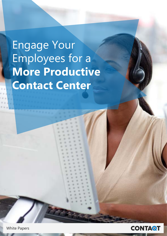# Engage Your Employees for a **More Productive Contact Center**

**White Papers** 

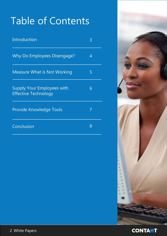### Table of Contents

| <b>Introduction</b>                                              | 3 |
|------------------------------------------------------------------|---|
| Why Do Employees Disengage?                                      | 4 |
| <b>Measure What is Not Working</b>                               | 5 |
| <b>Supply Your Employees with</b><br><b>Effective Technology</b> | 6 |
| <b>Provide Knowledge Tools</b>                                   |   |
| Conclusion                                                       | 8 |





2 White Papers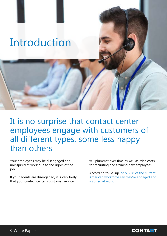### <span id="page-2-0"></span>Introduction

It is no surprise that contact center employees engage with customers of all different types, some less happy than others

Your employees may be disengaged and uninspired at work due to the rigors of the job.

If your agents are disengaged, it is very likely that your contact center's customer service

will plummet over time as well as raise costs for recruiting and training new employees.

According to Gallup, only 30% of the current American workforce say they're engaged and inspired at work.

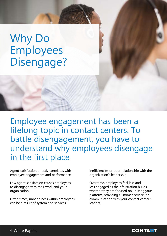### <span id="page-3-0"></span>**Why Do**  Employees Disengage?

Employee engagement has been a lifelong topic in contact centers. To battle disengagement, you have to understand why employees disengage in the first place

Agent satisfaction directly correlates with employee engagement and performance.

Low agent satisfaction causes employees to disengage with their work and your .organization

Often times, unhappiness within employees can be a result of system and services

inefficiencies or poor relationship with the organization's leadership.

Over time, employees feel less and less engaged as their frustration builds whether they are focused on utilizing your platform, providing customer service, or communicating with your contact center's .leaders

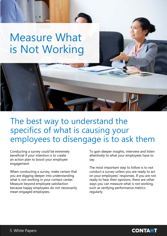### <span id="page-4-0"></span>**Measure What** is Not Working

#### The best way to understand the specifics of what is causing your employees to disengage is to ask them

Conducting a survey could be extremely beneficial if your intention is to create an action plan to boost your employee .engagement

When conducting a survey, make certain that you are digging deeper into understanding what is not working in your contact center. Measure beyond employee satisfaction because happy employees do not necessarily mean engaged employees.

To gain deeper insights, interview and listen attentively to what your employees have to say.

The most important step to follow is to not conduct a survey unless you are ready to act on your employees' responses. If you are not ready to hear their opinions, there are other ways you can measure what is not working, such as verifying performance metrics regularly.

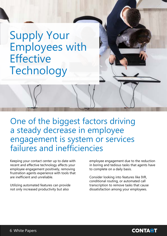### <span id="page-5-0"></span>**Supply Your Employees with Effective** Technology

One of the biggest factors driving a steady decrease in employee engagement is system or services failures and inefficiencies

Keeping your contact center up to date with recent and effective technology affects your employee engagement positively, removing frustration agents experience with tools that are inefficient and unreliable

Utilizing automated features can provide not only increased productivity but also

employee engagement due to the reduction in boring and tedious tasks that agents have to complete on a daily basis.

Consider looking into features like IVR, conditional routing, or automated call transcription to remove tasks that cause dissatisfaction among your employees.

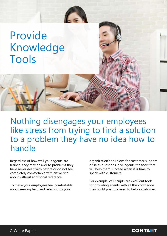### <span id="page-6-0"></span> Provide Knowledge Tools

Nothing disengages your employees like stress from trying to find a solution to a problem they have no idea how to handle

Regardless of how well your agents are trained, they may answer to problems they have never dealt with before or do not feel completely comfortable with answering about without additional reference

To make your employees feel comfortable about seeking help and referring to your

organization's solutions for customer support or sales questions, give agents the tools that will help them succeed when it is time to speak with customers.

For example, call scripts are excellent tools for providing agents with all the knowledge they could possibly need to help a customer.